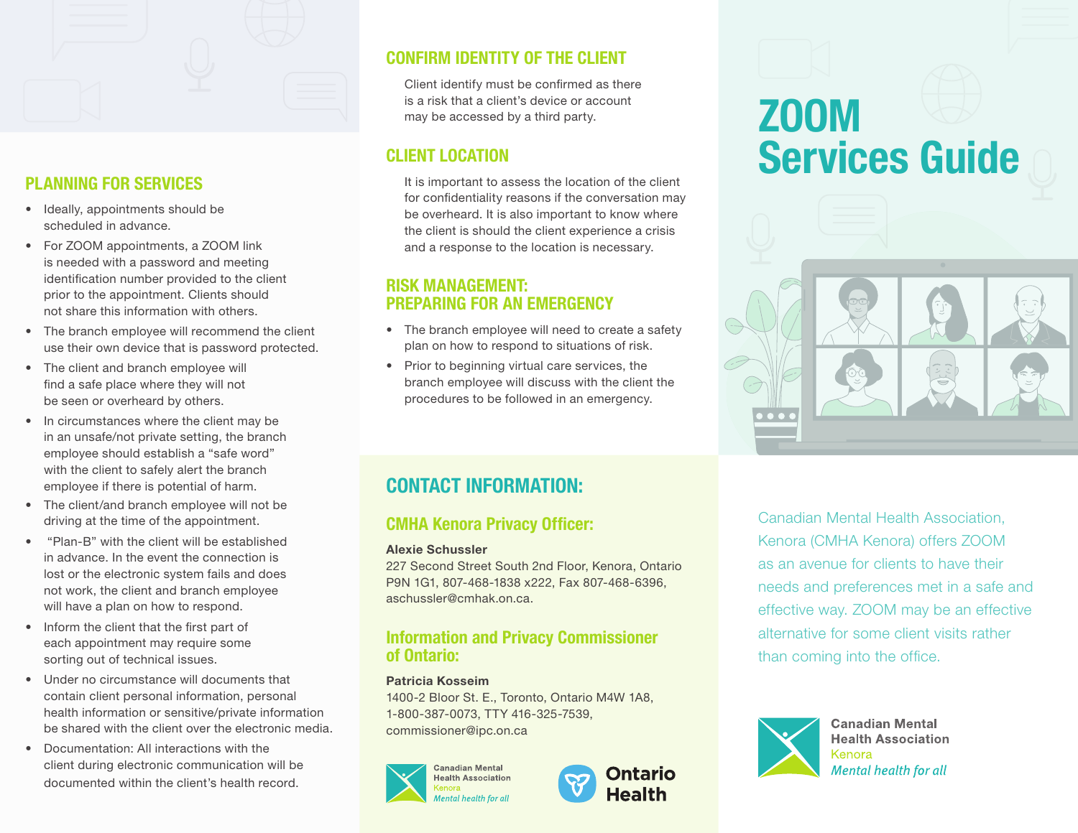

# PLANNING FOR SERVICES

- Ideally, appointments should be scheduled in advance.
- For ZOOM appointments, a ZOOM link is needed with a password and meeting identification number provided to the client prior to the appointment. Clients should not share this information with others.
- The branch employee will recommend the client use their own device that is password protected.
- The client and branch employee will find a safe place where they will not be seen or overheard by others.
- In circumstances where the client may be in an unsafe/not private setting, the branch employee should establish a "safe word" with the client to safely alert the branch employee if there is potential of harm.
- The client/and branch employee will not be driving at the time of the appointment.
- "Plan-B" with the client will be established in advance. In the event the connection is lost or the electronic system fails and does not work, the client and branch employee will have a plan on how to respond.
- Inform the client that the first part of each appointment may require some sorting out of technical issues.
- Under no circumstance will documents that contain client personal information, personal health information or sensitive/private information be shared with the client over the electronic media.
- Documentation: All interactions with the client during electronic communication will be documented within the client's health record.

# CONFIRM IDENTITY OF THE CLIENT

Client identify must be confirmed as there is a risk that a client's device or account may be accessed by a third party.

# CLIENT LOCATION

It is important to assess the location of the client for confidentiality reasons if the conversation may be overheard. It is also important to know where the client is should the client experience a crisis and a response to the location is necessary.

# RISK MANAGEMENT: PREPARING FOR AN EMERGENCY

- The branch employee will need to create a safety plan on how to respond to situations of risk.
- Prior to beginning virtual care services, the branch employee will discuss with the client the procedures to be followed in an emergency.

# CONTACT INFORMATION:

# CMHA Kenora Privacy Officer:

#### Alexie Schussler

227 Second Street South 2nd Floor, Kenora, Ontario P9N 1G1, 807-468-1838 x222, Fax 807-468-6396, aschussler@cmhak.on.ca.

### Information and Privacy Commissioner of Ontario:

#### Patricia Kosseim

1400-2 Bloor St. E., Toronto, Ontario M4W 1A8, 1-800-387-0073, TTY 416-325-7539, commissioner@ipc.on.ca





# ZOOM Services Guide



Canadian Mental Health Association, Kenora (CMHA Kenora) offers ZOOM as an avenue for clients to have their needs and preferences met in a safe and effective way. ZOOM may be an effective alternative for some client visits rather than coming into the office.



**Canadian Mental Health Association** Kenora **Mental health for all**